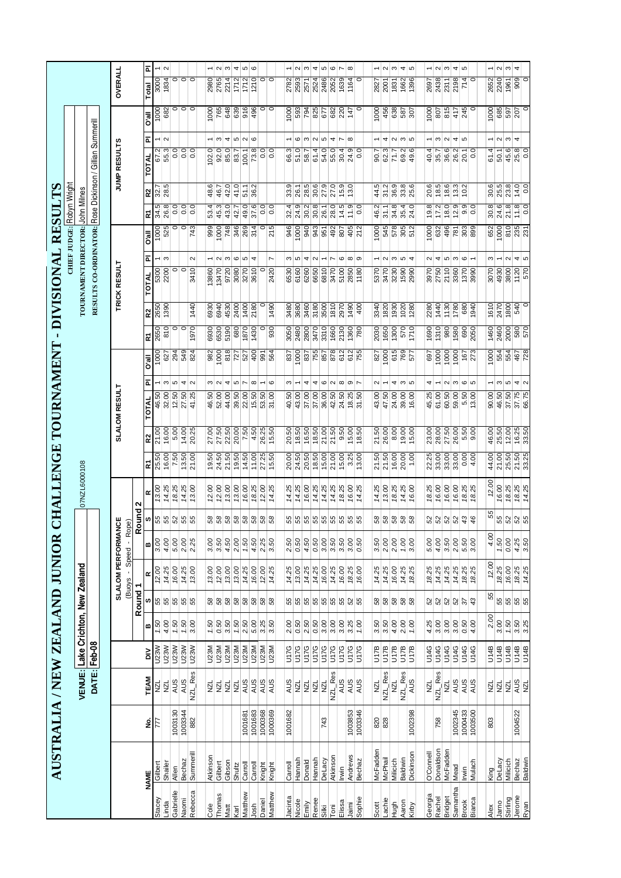|                    |                        | AUSTRALIA / NEW ZEALAND JUNIOR |                                   |                            |                          |                    |                                                  |                        |                               |                       |                   |                       | <b>CHALLENGE TOURNAMENT - DIVISIONAL RESUI</b> |                     |                        |                         |                      |                          |                                    |                            | <b>STT</b>                    |                                                          |                   |                   |                  |                            |
|--------------------|------------------------|--------------------------------|-----------------------------------|----------------------------|--------------------------|--------------------|--------------------------------------------------|------------------------|-------------------------------|-----------------------|-------------------|-----------------------|------------------------------------------------|---------------------|------------------------|-------------------------|----------------------|--------------------------|------------------------------------|----------------------------|-------------------------------|----------------------------------------------------------|-------------------|-------------------|------------------|----------------------------|
|                    |                        |                                |                                   |                            |                          |                    |                                                  |                        |                               |                       |                   |                       |                                                |                     |                        |                         |                      |                          | <b>HIEF JUDGE:</b>                 |                            | Robyn Wright                  |                                                          |                   |                   |                  |                            |
|                    |                        |                                | VENUE: Lake Crichton, New Zealand |                            |                          |                    |                                                  |                        |                               | 07NZL6000108          |                   |                       |                                                |                     |                        |                         | TOURNAMENT DIRECTOR: |                          |                                    |                            | John Milnes                   |                                                          |                   |                   |                  |                            |
|                    |                        |                                |                                   | DATE: Feb-08               |                          |                    |                                                  |                        |                               |                       |                   |                       |                                                |                     |                        |                         |                      |                          |                                    |                            |                               | RESULTS CO-ORDINATOR: Rose Dickinson / Gillian Summerill |                   |                   |                  |                            |
|                    |                        |                                |                                   |                            |                          |                    | <b>SLALOM PERFORMANCE</b><br>(Buoys - Speed - Ro |                        | jedi                          |                       |                   |                       | <b>SLALOM RESULT</b>                           |                     |                        |                         | TRICK RESULT         |                          |                                    |                            |                               | JUMP RESULTS                                             |                   |                   | OVERALL          |                            |
|                    |                        |                                |                                   |                            |                          | Round <sub>1</sub> |                                                  |                        | ound <sub>2</sub><br>≃        |                       |                   |                       |                                                |                     |                        |                         |                      |                          |                                    |                            |                               |                                                          |                   |                   |                  |                            |
|                    | NAME                   | ş                              | TEAM                              | à                          | m                        | ဖ                  | œ                                                | m                      | w                             | ∝                     | M                 | R <sub>2</sub>        | TOTAL                                          | ᇎ                   | 짇<br>lle,O             |                         | R <sub>2</sub>       | <b>TOTAL</b>             | <b>D'all</b><br>ᇎ                  | 짇                          | R <sub>2</sub>                | <b>TOTAL</b>                                             | ā.                | llis.O            | Total            | ā.                         |
| Stacey             | Gilbert                | Ë                              | NZL                               | <b>MSZN</b>                | 1.50                     | 55                 | 12.00                                            | 3.00                   |                               | 13.00                 | 25.50             | 21.00                 | 46.50                                          |                     | 1000                   | 2650                    | 2650                 | 5300                     |                                    | 34.5<br>1000               | 32.7                          | 67.2                                                     |                   | 1000              | 3000             | $\overline{\phantom{0}}$   |
| Linda              | Shailer                |                                | NZL                               | U23W                       | 4.00                     | ඝ                  | 14.25                                            | 4.00                   |                               | 14.25                 | 16.00             | 16.00                 |                                                | ω                   | 627                    | 810                     | 1390                 | 2200                     | S                                  | 26.8<br>525                | 28.5                          | 55.3                                                     | $\sim$            | 682               | 1834             | $\boldsymbol{\sim}$        |
| Gabrielle<br>Naomi | <b>Bechaz</b><br>Allen | $\frac{1003130}{2}$<br>1003344 | <b>AUS</b><br><b>AUS</b>          | U23W<br>U23W               | 1.50<br>$\frac{1.50}{ }$ | $\frac{8}{3}$      | 16.00<br>14.25                                   | 5.00<br>$\frac{8}{2}$  | 88888                         | 18.25<br>14.25        | 7.50<br>13.50     | 5.00<br>14.00         |                                                | Ю<br>4              | $\frac{294}{549}$      | $\circ$<br>0            |                      | $\circ$<br>$\circ$       |                                    |                            | 0.0                           | $rac{1}{\frac{1}{\cdot} \cdot 0}$                        |                   | $\circ$<br>∘      | $\circ$          |                            |
| Rebecca            | Summerill              | 882                            | NZL_Res                           | U23W                       | 3.00                     | 55                 | 13.00                                            | 2.25                   |                               | $\frac{13.00}{2}$     | 21.00             | 20.25                 |                                                | $\mathbf{\Omega}$   | 824                    | 1970                    | 1440                 | 3410                     | $\sim$                             | 743                        | $rac{0}{0.0}$                 | 0.0                                                      |                   |                   | 0  0             |                            |
| Cole               | Atkinson               |                                |                                   | <b>U23M</b>                |                          |                    | 13.00                                            |                        |                               |                       |                   | 27.00                 |                                                |                     | 982                    | 6930                    | 6930                 | 13860                    |                                    | 53.4<br>999                | 48.6                          | 102.0                                                    |                   | $\overline{1000}$ | 2980             |                            |
| Thomas             | Gilbert                |                                | $\frac{NZL}{NZ}$                  | U23M                       | $1.50$<br>0.50           | $\frac{8}{8}$      | 12.00                                            | $\frac{3.00}{3.50}$    |                               | 12.00<br>12.00        | 19.50<br>24.50    | 27.50                 | 46.50<br>52.00                                 | 3<br>$\sim$         | 1000                   | 6530                    | 6940                 | 13470                    | $\overline{\phantom{0}}$<br>$\sim$ | 45.3<br>1000               | 46.7                          | 92.0                                                     | S                 | 765               | 2765             | $\overline{a}$             |
| Matt               | Gibson                 |                                | <b>N</b> ZL                       | <b>U23M</b>                | 3.50                     | 8                  | 13.00                                            | 4.50                   |                               | 13.00                 | 21.50             | 22.50                 | 44.00                                          | 4                   | 818                    | 5190                    | 4530                 | 9720                     | S                                  | 43.0<br>748                | 42.0                          | 85.0                                                     | 4                 | 648               | 2214             | $\sim$  ന                  |
| Karl               | Shultz                 |                                | NZL                               | U23M                       |                          | S                  | 13.00                                            | $\frac{2.00}{2}$       | ଞ୍ଜାଞ୍ଜାଞ୍ଜାଞ୍ଜାଞ୍ଜା          | 13.00                 | 19.50             | 20.00                 | 39.50                                          | 5                   | $\overline{127}$       | 680                     | 2400                 | 3080                     | $\mathbf \omega$                   | 42.7<br>346                | 41.0                          | 83.7                                                     | Ю                 | 639               | 1712             | 4                          |
| Matthew            | Carroll                | 1001681                        | <b>AUS</b>                        | <b>U23M</b>                | $\frac{1.50}{2.50}$      | 8                  | 14.25                                            | 1.50                   |                               | 16.00                 | 14.50             | 7.50                  | 22.00                                          |                     | 527                    | 1870                    | 1400                 | 3270                     | Ю                                  | 49.0<br>269                | 51.1                          | 100.1                                                    | $\sim$            | 916               | 1712             | $\omega$   $\omega$        |
| Josh               | Carroll                | 1001683                        | <b>AUS</b>                        | U23M                       | $\frac{5.00}{5}$         | ೫ <mark>೫</mark>   | 16.00                                            | $\frac{4.50}{2.25}$    |                               | 18.25                 | 11.00             | 4.50                  | 15.50                                          | $^{\circ}$          | 400                    | 1430                    | 2180                 | 3610                     | 4                                  | 37.6<br>314                | 36.2                          | 73.8                                                     | $\circ$           | 496               | 1210             |                            |
| Daniel             | Knight                 | 1000368                        | <b>AUS</b>                        | <b>U23M</b>                | 3.25                     |                    | 12.00                                            |                        |                               | 12.00                 | 27.25             | 26.25                 | 53.50                                          | $\overline{ }$      | 991                    |                         |                      | $\circ$                  |                                    |                            | 0.0                           | 0.0                                                      |                   | $\circ$           | $\circ$          |                            |
| Matthew            | Knight                 | 1000369                        | <b>AUS</b>                        | <b>U23M</b>                | 3.50                     | 8 <sup>2</sup>     | 14.25                                            | 3.50                   | 8                             | 14.25                 | 15.50             | 15.50                 | 31.00                                          | ဖ                   | 564                    | 930                     | 1490                 | 2420                     |                                    | 215                        | 0.0                           | 0.0                                                      |                   | $\circ$           | $\circ$          |                            |
| Jacinta            | Carroll                | 1001682                        | <b>AUS</b>                        | <b>DLLG</b>                |                          |                    | 14.25                                            | 2.50                   |                               | 14.25                 | 20.00             | 20.50                 | 40.50                                          | ω                   | 837                    | 3050                    | 3480                 | 6530                     | ო                                  | 32.4<br>946                | 33.9                          | 66.3                                                     | $\overline{ }$    | 1000              | 2782             | $\overline{a}$             |
| Nicole             | Hannah                 |                                | <u>Izr</u>                        | U17G                       | $rac{2.00}{0.50}$        | $\frac{8}{3}$      | 13.00                                            | 0.50                   |                               | 14.25                 | 24.50             | 18.50                 | 43.00                                          |                     | 1000                   | 2480                    | 3680                 | 6160                     | 5                                  | 24.9<br>1000               | 26.1                          | 51.0                                                     | $\circ$           | 593               | 2593             |                            |
| Emily              | Donald                 |                                | $\frac{1}{2}$                     | U17G                       | $\frac{2.50}{0.50}$      | ್ದಿ ಜ              | 14.25                                            | $\frac{4.50}{0.50}$    |                               | 16.00                 | 20.50             | 16.50                 | 37.00                                          | 4                   | 837                    | 2800                    | 3460                 | 6260                     | 4                                  | 30.2<br>940                | 28.5                          | 58.7                                                     | ω                 |                   | 2571             | പ ത                        |
| Renee              | Hannah                 |                                | <b>IZL</b>                        | <b>U17G</b>                |                          |                    | 14.25                                            |                        |                               | 14.25                 | 18.50             | 18.50                 | 37.00                                          | 4                   | 755                    | 3470                    | 3180                 | 6650                     | $\sim$                             | 30.8<br>943                | 30.6                          | 61.4                                                     | $\sim$            | $\frac{794}{825}$ | 2524             | 4                          |
| Silki              | DeLacy                 | 743                            | NZL                               | U17G                       | 3.00                     | 55                 | 16.00                                            | 3.00                   | $\frac{1}{8}$ [서울] 서울  서울  서울 | 14.25                 | 15.00             | 21.00                 | 36.00                                          | ဖ                   | 857                    | 3310                    | 3500                 | 6810                     |                                    | 26.1<br>951                | 27.9                          | 54.0                                                     | Ю                 | $\overline{677}$  | 2486             | Ю                          |
| Toni               | Atkinson               |                                | $NZL$ <sub>-Res</sub>             | U17G                       | $rac{3.00}{3.00}$        |                    | 14.25                                            | $\frac{350}{350}$      |                               | 14.25                 | 21.00             | 21.50                 | 42.50                                          | $\sim$              | 878                    | 1660                    | 1810                 | 3470                     | r                                  | 28.0<br>492                | 27.0                          | 55.0                                                     | 4                 | 682               | 2052             | $\circ$                    |
| Elissa             | Iwin                   | 1003853                        | $\frac{2}{\frac{1}{2}}$           | <b>D47G</b><br><b>D17G</b> | 3.25                     |                    | 16.00<br>18.25                                   |                        |                               | 18.25<br>16.00        | 15.00<br>3.25     | 9.50<br>15.00         | 24.50<br>18.25                                 | $\infty$            | 612<br>$\frac{1}{612}$ | 2130<br>1360            | 2970<br>1490         | 5100<br>2850             | $\mathbf \omega$<br>$\infty$       | 14.5<br>405<br>807         | 15.9                          | $\frac{24.9}{2}$<br>30.4                                 | $\overline{ }$    | $\frac{220}{147}$ | 1639<br>1164     | $\infty$<br>$\overline{ }$ |
| Sophie<br>Jaimi    | Andrews<br>Bechaz      | 1003346                        | <b>AUS</b>                        | U17G                       | $\frac{1}{100}$          | B B B B            | $\frac{16.00}{2}$                                | $\frac{8}{36}$ ದ       |                               | 14.25                 | 13.00             | 18.50                 | 31.50                                          | თ<br>$\overline{ }$ | 755                    | 780                     | 400                  | 1180                     | ၜ                                  | 11.9<br>212                | 13.0<br>0.0                   | 0.0                                                      | ${}^{\circ}$      |                   | $\circ$          |                            |
|                    |                        |                                |                                   |                            |                          |                    |                                                  |                        |                               |                       |                   |                       |                                                |                     |                        |                         |                      |                          |                                    |                            |                               |                                                          |                   |                   |                  |                            |
| Scott              | McFadden               | 820                            | NZL                               | $\frac{1}{2}$              |                          |                    | 14.25                                            | 3.50                   |                               | 14.25                 | 21.50             | 21.50                 | 43.00                                          | И                   | 827                    | 2030                    | 3340                 | 5370                     | $\overline{\phantom{0}}$           | 46.2<br>1000               | 44.5                          | 90.7                                                     |                   | 1000              | 2827             | $\overline{\phantom{0}}$   |
| Lachie<br>흵        | McPhail<br>Milicich    | 828                            | NZL_Res<br>NZL                    | U17B                       | $\frac{3.50}{3.50}$      | ន $ \mathbb{S} $ ន | 14.25<br>16.00                                   | $\frac{8}{20}$<br>2.00 | $\mathbb{R} \mathbb{R} $ ង    | 13.00<br>18.25        | 16.00<br>21.50    | 26.00<br>8.00         | 47.50                                          | 4                   | 615<br>1000            | 1650<br>1300            | 1820<br>1930         | 3470<br>3230             | S<br>$\sim$                        | 34.8<br>31.1<br>578<br>545 | 31.2<br>36.9                  | 62.3<br>71.7                                             | $\sim$<br>4       | 638<br>456        | 1831<br>2001     | ∾∣ო                        |
| Aaron              | Baldwin                |                                | NZL_Res                           | $\frac{1}{2}$              | 2.00                     | ೫                  | 14.25                                            | $\frac{100}{1}$        | ೫ ಜ                           | 14.25                 | 20.00             | 19.00                 | $\frac{24.00}{39.00}$                          | ω                   | 769                    | 570                     | 1020                 | 1590                     | Б                                  | 35.4<br>305                | 33.8                          | 69.2                                                     | S                 | 587               | 1662             | 4                          |
| Kirby              | Dickinson              | 1002398                        | <b>AUS</b>                        | U17B                       |                          | 58                 | 18.25                                            | 3.00                   |                               | 16.00                 | 1.00              | 15.00                 |                                                | Ю                   | 577                    | 1710                    | 1280                 | 2990                     | 4                                  | 24.0<br>512                | 25.6                          | 49.6                                                     | Ю                 | 307               | 1396             | Б                          |
| Georgia            | O'Connell              |                                | <b>N</b> ZL                       | U14G                       | 4.25                     |                    | 18.25                                            | 5.00                   |                               | 18.25                 | 22.25             | 23.00                 | 45.25                                          | 4                   | 697                    | 1690                    | 2280                 | 3970                     | $\sim$                             | 19.8<br>1000               | 20.6                          | 40.4                                                     | $\overline{ }$    | 1000              | 2697             |                            |
| Rachel             | Donaldson              | 758                            | NZL_Res                           | <b>U14G</b>                | 3.00                     |                    | 14.25                                            | 4.00                   |                               | $\frac{16.00}{2}$     | 33.00             | 28.00                 | 61.00                                          |                     | $\frac{1000}{2}$       | 1310                    | 1440                 | 2750                     | 4                                  | 17.2<br>632                | 18.5                          | 35.7                                                     | S                 | 807               | 2438             |                            |
| <b>Bridget</b>     | McFadden               |                                | NZL                               | U14G                       | 8 8 8 8                  | ଖାଖାଖାଖ            | 14.25                                            | $\frac{350}{2.00}$     | ន $ g g g g g$                | 16.00                 | 33.00             | 27.50                 | 60.50                                          | 2                   | 1000                   | 980                     | 1130                 | 2110                     | LO.                                | 18.0<br>496                | 18.6                          | 36.6                                                     | $\sim$            | 815               | 2311             | ∾∣ന                        |
| Samantha           | Mead                   | 1002345                        | $rac{2}{2}$                       | U14G                       |                          |                    | 14.25                                            |                        |                               | 16.00                 | 33.00             | 26.00                 | 59.00                                          | S                   | 1000                   | 1580                    | 1780                 | 3360                     | ო                                  | 12.9<br>781                | 13.3                          | 26.2                                                     | 4                 | 417               | 2198             | 40                         |
| <b>Brook</b>       | Invin                  | 1000433                        |                                   | U14G                       |                          |                    | 18.25                                            | $rac{6}{3}$            |                               | 18.25                 | $\overline{0.00}$ | 5.50                  | $\frac{5.50}{13.00}$                           | 6                   | 167                    | 690                     | 680                  | 1370                     | $\circ$                            | 303                        | 10.2<br>$\frac{9.9}{0.0}$     | 20.1                                                     | 5                 | 245               | 714              |                            |
| Bianca             | Mulach                 | 1003500                        | RUS                               | U14G                       |                          | $\frac{4}{3}$      | 18.25                                            |                        | 18                            |                       | 4.00              | 9.00                  |                                                | 10                  | 273                    | 2050                    | 1940                 | 3990                     | $\overline{ }$                     | 899                        |                               | 0.0                                                      |                   |                   | $\circ$          |                            |
| Alex               | King                   | 803                            | NZL                               | U14B                       | 2.00                     | 55                 | 12.00                                            | 4.00                   | 55                            | 12.00                 | 44.00             | 46.00                 | 90.00                                          |                     | 1000                   | 1460                    | 1610                 | 3070                     | 3                                  | 30.8<br>652                | 30.6                          | 61.4                                                     |                   | 1000              | 2652             | $\overline{ }$             |
| Jarno              | DeLacy                 |                                | 꾍                                 | U14B                       | $\frac{3.00}{1.50}$      | 8                  | 18.25                                            | 1.50                   |                               | 16.00                 | 21.00             | 25.50                 | $\frac{46.50}{37.50}$                          | ω                   | 554                    | 2460                    | 2470                 | 4930                     |                                    | 24.6<br>1000               | 25.5                          | 50.1                                                     | $\mathbf{\Omega}$ | $rac{685}{390}$   | 2240             | ∾∣ო                        |
| Stirling           | Milicich               |                                |                                   | U14B                       |                          |                    | 16.00                                            | $\frac{8}{9}$          |                               | 18.25                 | 25.50             | 12.00                 |                                                | 5                   | 554                    | 2000                    | 1800                 | 3800                     | $\sim$                             | 21.8<br>810                | 23.8                          | 45.6                                                     | S                 | 207               | $\frac{1961}{1}$ |                            |
| Jerome<br>Ryan     | Bechaz<br>Baldwin      | 1004522                        | $\frac{2}{3}$                     | $\frac{9}{5}$              | $\frac{3.50}{3.25}$      | ន្ទ្រន្ទ្រ         | $\frac{18.25}{14.25}$                            | $\frac{4.25}{3.50}$    | ង $ g B B$                    | $\frac{18.25}{14.25}$ | 21.50             | $\frac{16.25}{33.50}$ | 37.75<br>66.75                                 | 4<br>$\sim$         | $\frac{467}{728}$      | 580<br>$\overline{570}$ | 540                  | 1120<br>$\overline{570}$ | 4<br>LO                            | 11.8<br>$\frac{235}{231}$  | 14.0<br>0.0<br>$\overline{0}$ | 25.8<br>0.0                                              | 4                 |                   | 909              | 4                          |
|                    |                        |                                |                                   |                            |                          |                    |                                                  |                        |                               |                       |                   |                       |                                                |                     |                        |                         |                      |                          |                                    |                            |                               |                                                          |                   |                   |                  |                            |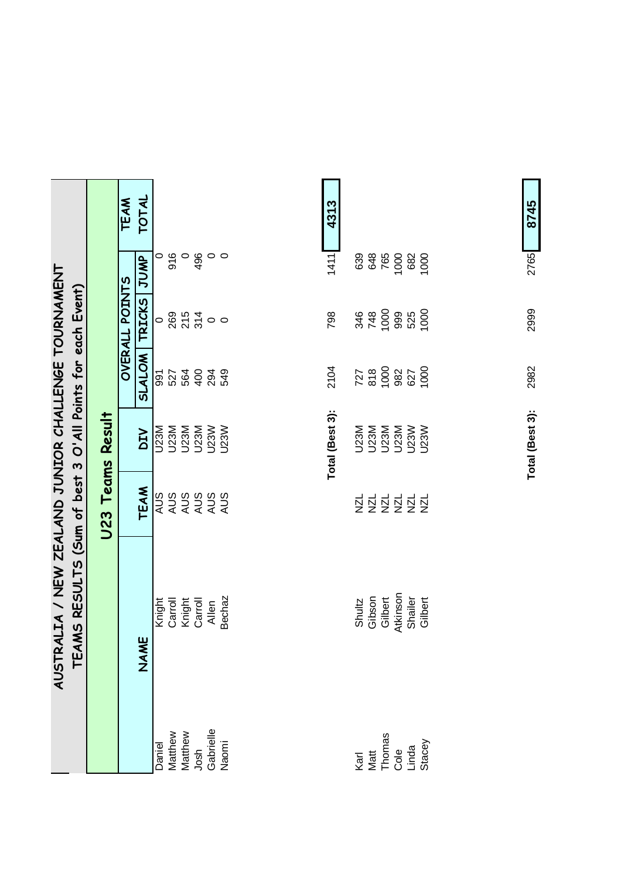|                                                                                     |                  | <b>TEAM</b>           | TOTAL         |        |                                       |                   |       |                                                               | 4313                                                                       |
|-------------------------------------------------------------------------------------|------------------|-----------------------|---------------|--------|---------------------------------------|-------------------|-------|---------------------------------------------------------------|----------------------------------------------------------------------------|
|                                                                                     |                  |                       |               |        |                                       |                   |       |                                                               |                                                                            |
|                                                                                     |                  |                       | JUMP          |        | ဝ ဖ ဝ ဖ ဝ ဝ<br>ာ ေ ဗ                  |                   |       |                                                               | 639<br>1411                                                                |
| O'All Points for each Event)                                                        |                  | <b>OVERALL POINTS</b> | <b>TRICKS</b> |        | 0 8 5 7 0 0<br>0 8 5 7 0 0            |                   |       |                                                               | 798                                                                        |
|                                                                                     |                  |                       | <b>SLALOM</b> |        | <b>9223933</b><br>928933              |                   |       |                                                               | 2104<br>$727$<br>$800$<br>$982$<br>$827$<br>$100$                          |
|                                                                                     |                  |                       | NIQ           | U23M   | NESSI<br>2320<br>2330<br>2330<br>2330 |                   |       |                                                               | Total (Best 3):<br><b>MSNA<br/>1930<br/>1930<br/>1930<br/>1930</b><br>1930 |
|                                                                                     | U23 Teams Result |                       | TEAM          |        | 8<br>2008<br>8008<br>8008             |                   |       |                                                               | S S S S S S<br>의 의 의 의 의                                                   |
| AUSTRALIA / NEW ZEALAND JUNIOR CHALLENGE TOURNAMENT<br>TEAMS RESULTS (Sum of best 3 |                  |                       | NAME          | Knight | Carroll                               | Knight<br>Carroll | Allen | <b>Bechaz</b>                                                 | Atkinson<br>Shultz<br>Gibson<br>Shailer<br>Gilbert<br>Gilbert              |
|                                                                                     |                  |                       |               | Daniel |                                       |                   |       | Matthew<br>Matthew<br>Josh<br>Gabrielle<br>Gabrielle<br>Naomi | Karl<br>Matt<br>Thomas<br>Cole<br>Cinda<br>Stacey                          |

**Total (Best 3):** 2982 2999 2765 **8745**

Total (Best 3): 2982

2999

 $2765$  8745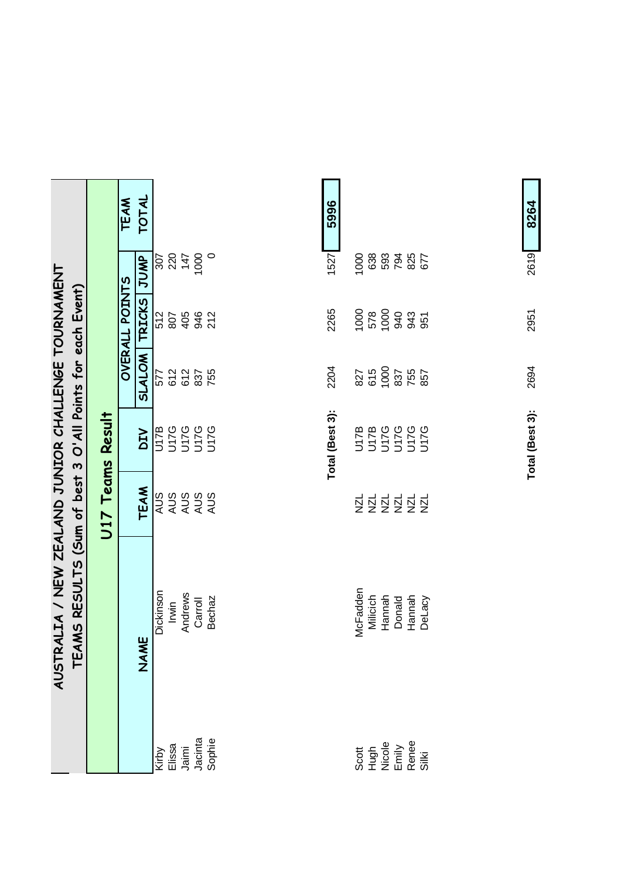|                                                                                                        |                  | <b>TEAM</b>           | TOTAL         |           |       |         |                                                                                                                                              | 5996                                                                |
|--------------------------------------------------------------------------------------------------------|------------------|-----------------------|---------------|-----------|-------|---------|----------------------------------------------------------------------------------------------------------------------------------------------|---------------------------------------------------------------------|
|                                                                                                        |                  |                       | JUMP          |           |       |         | $\circ$                                                                                                                                      | 1527<br>883457<br>88788<br>1000                                     |
|                                                                                                        |                  | <b>OVERALL POINTS</b> | <b>TRICKS</b> |           |       |         | $\frac{12}{5}$ $\frac{5}{5}$ $\frac{6}{5}$ $\frac{6}{5}$ $\frac{6}{5}$ $\frac{6}{5}$ $\frac{6}{5}$ $\frac{6}{5}$ $\frac{6}{5}$ $\frac{6}{5}$ | 2265                                                                |
| O'All Points for each Event)                                                                           |                  |                       | <b>SLALOM</b> |           |       |         | 577<br>622<br>637<br>755<br>755                                                                                                              | 2204<br>827<br>615<br>600<br>627<br>857                             |
|                                                                                                        |                  |                       | NIQ           |           |       |         | 0215<br>0214<br>0214<br>0214                                                                                                                 | Total (Best 3):<br><b>92222222</b><br>2222222                       |
|                                                                                                        | U17 Teams Result |                       | TEAM          |           |       |         | SOR<br>SOR<br>SOR<br>SOR                                                                                                                     | S S S S S S<br>9 9 9 9 9 9                                          |
| AUSTRALIA / NEW ZEALAND JUNIOR CHALLENGE TOURNAMENT<br><b>MS RESULTS (Sum of best 3</b><br><b>TEAM</b> |                  |                       | NAME          | Dickinson | Irwin | Andrews | Bechaz<br>Carroll                                                                                                                            | <b>McFadden</b><br>Hannah<br>Hannah<br>Milicich<br>Donald<br>DeLacy |
|                                                                                                        |                  |                       |               |           |       |         | Kirby<br>Elissa<br>Elismi<br>Jacinta<br>Sophie                                                                                               | Scott<br>Hugh<br>Hicole<br>Emily<br>Renee<br>Silki                  |

2619 8264 **Total (Best 3):** 2694 2951 2619 **8264** 2951 Total (Best 3): 2694